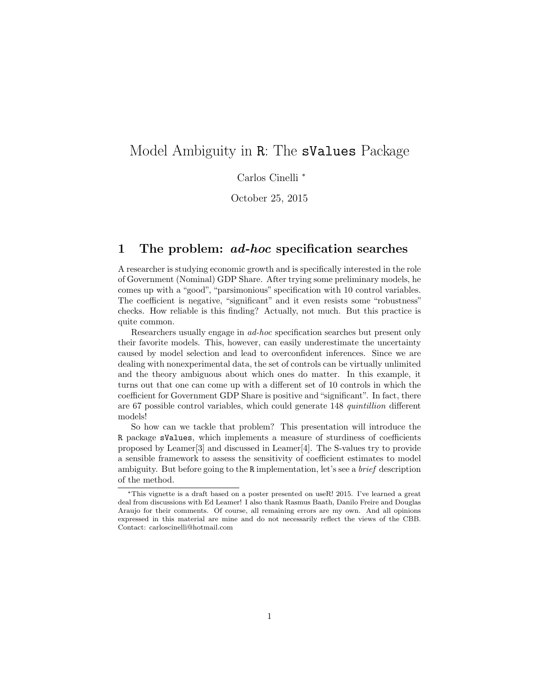# Model Ambiguity in R: The sValues Package

Carlos Cinelli <sup>∗</sup>

October 25, 2015

## 1 The problem: *ad-hoc* specification searches

A researcher is studying economic growth and is specifically interested in the role of Government (Nominal) GDP Share. After trying some preliminary models, he comes up with a "good", "parsimonious" specification with 10 control variables. The coefficient is negative, "significant" and it even resists some "robustness" checks. How reliable is this finding? Actually, not much. But this practice is quite common.

Researchers usually engage in ad-hoc specification searches but present only their favorite models. This, however, can easily underestimate the uncertainty caused by model selection and lead to overconfident inferences. Since we are dealing with nonexperimental data, the set of controls can be virtually unlimited and the theory ambiguous about which ones do matter. In this example, it turns out that one can come up with a different set of 10 controls in which the coefficient for Government GDP Share is positive and "significant". In fact, there are 67 possible control variables, which could generate 148 quintillion different models!

So how can we tackle that problem? This presentation will introduce the R package sValues, which implements a measure of sturdiness of coefficients proposed by Leamer[3] and discussed in Leamer[4]. The S-values try to provide a sensible framework to assess the sensitivity of coefficient estimates to model ambiguity. But before going to the R implementation, let's see a brief description of the method.

<sup>∗</sup>This vignette is a draft based on a poster presented on useR! 2015. I've learned a great deal from discussions with Ed Leamer! I also thank Rasmus Baath, Danilo Freire and Douglas Araujo for their comments. Of course, all remaining errors are my own. And all opinions expressed in this material are mine and do not necessarily reflect the views of the CBB. Contact: carloscinelli@hotmail.com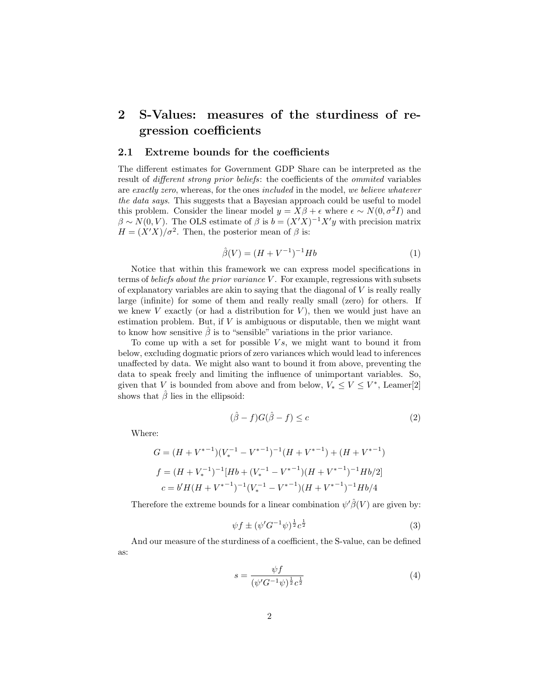## 2 S-Values: measures of the sturdiness of regression coefficients

#### 2.1 Extreme bounds for the coefficients

The different estimates for Government GDP Share can be interpreted as the result of *different strong prior beliefs*: the coefficients of the *ommited* variables are exactly zero, whereas, for the ones included in the model, we believe whatever the data says. This suggests that a Bayesian approach could be useful to model this problem. Consider the linear model  $y = X\beta + \epsilon$  where  $\epsilon \sim N(0, \sigma^2 I)$  and  $\beta \sim N(0, V)$ . The OLS estimate of  $\beta$  is  $b = (X'X)^{-1}X'y$  with precision matrix  $H = (X'X)/\sigma^2$ . Then, the posterior mean of  $\beta$  is:

$$
\hat{\beta}(V) = (H + V^{-1})^{-1} Hb \tag{1}
$$

Notice that within this framework we can express model specifications in terms of *beliefs about the prior variance V*. For example, regressions with subsets of explanatory variables are akin to saying that the diagonal of  $V$  is really really large (infinite) for some of them and really really small (zero) for others. If we knew V exactly (or had a distribution for V), then we would just have an estimation problem. But, if  $V$  is ambiguous or disputable, then we might want to know how sensitive  $\beta$  is to "sensible" variations in the prior variance.

To come up with a set for possible  $Vs$ , we might want to bound it from below, excluding dogmatic priors of zero variances which would lead to inferences unaffected by data. We might also want to bound it from above, preventing the data to speak freely and limiting the influence of unimportant variables. So, given that V is bounded from above and from below,  $V_* \leq V \leq V^*$ , Leamer<sup>[2]</sup> shows that  $\hat{\beta}$  lies in the ellipsoid:

$$
(\hat{\beta} - f)G(\hat{\beta} - f) \le c \tag{2}
$$

Where:

$$
G = (H + V^{*-1})(V_*^{-1} - V^{*-1})^{-1}(H + V^{*-1}) + (H + V^{*-1})
$$
  

$$
f = (H + V_*^{-1})^{-1}[Hb + (V_*^{-1} - V^{*-1})(H + V^{*-1})^{-1}Hb/2]
$$
  

$$
c = b'H(H + V^{*-1})^{-1}(V_*^{-1} - V^{*-1})(H + V^{*-1})^{-1}Hb/4
$$

Therefore the extreme bounds for a linear combination  $\psi'\hat{\beta}(V)$  are given by:

$$
\psi f \pm (\psi' G^{-1} \psi)^{\frac{1}{2}} c^{\frac{1}{2}} \tag{3}
$$

And our measure of the sturdiness of a coefficient, the S-value, can be defined as:

$$
s = \frac{\psi f}{(\psi' G^{-1} \psi)^{\frac{1}{2}} c^{\frac{1}{2}}}
$$
(4)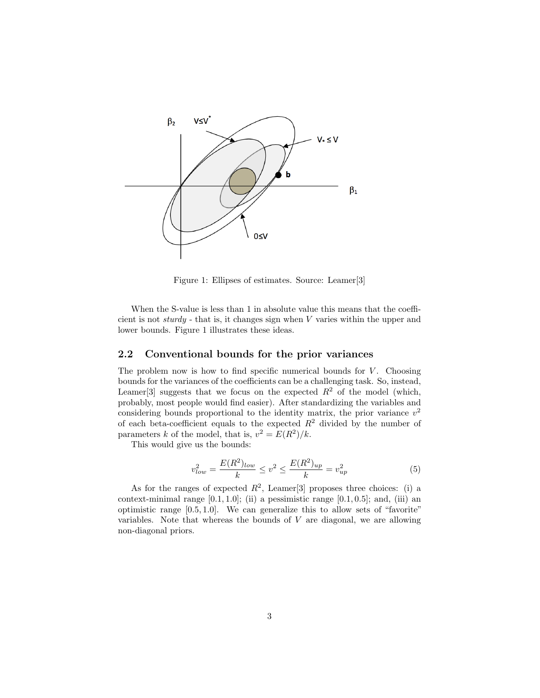

Figure 1: Ellipses of estimates. Source: Leamer[3]

When the S-value is less than 1 in absolute value this means that the coefficient is not sturdy - that is, it changes sign when V varies within the upper and lower bounds. Figure 1 illustrates these ideas.

### 2.2 Conventional bounds for the prior variances

The problem now is how to find specific numerical bounds for  $V$ . Choosing bounds for the variances of the coefficients can be a challenging task. So, instead, Leamer<sup>[3]</sup> suggests that we focus on the expected  $R^2$  of the model (which, probably, most people would find easier). After standardizing the variables and considering bounds proportional to the identity matrix, the prior variance  $v^2$ of each beta-coefficient equals to the expected  $R^2$  divided by the number of parameters k of the model, that is,  $v^2 = E(R^2)/k$ .

This would give us the bounds:

$$
v_{low}^2 = \frac{E(R^2)_{low}}{k} \le v^2 \le \frac{E(R^2)_{up}}{k} = v_{up}^2 \tag{5}
$$

As for the ranges of expected  $R^2$ , Leamer<sup>[3]</sup> proposes three choices: (i) a context-minimal range  $[0.1, 1.0]$ ; (ii) a pessimistic range  $[0.1, 0.5]$ ; and, (iii) an optimistic range [0.5, 1.0]. We can generalize this to allow sets of "favorite" variables. Note that whereas the bounds of  $V$  are diagonal, we are allowing non-diagonal priors.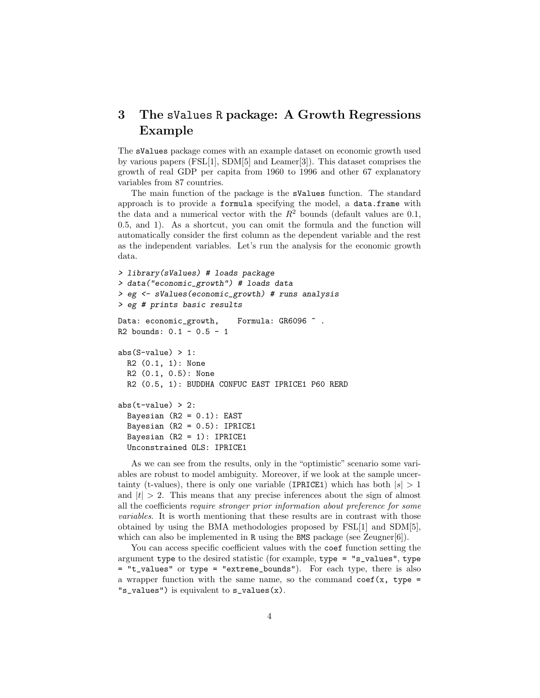## 3 The sValues R package: A Growth Regressions Example

The sValues package comes with an example dataset on economic growth used by various papers (FSL[1], SDM[5] and Leamer[3]). This dataset comprises the growth of real GDP per capita from 1960 to 1996 and other 67 explanatory variables from 87 countries.

The main function of the package is the sValues function. The standard approach is to provide a formula specifying the model, a data.frame with the data and a numerical vector with the  $R^2$  bounds (default values are 0.1, 0.5, and 1). As a shortcut, you can omit the formula and the function will automatically consider the first column as the dependent variable and the rest as the independent variables. Let's run the analysis for the economic growth data.

```
> library(sValues) # loads package
> data("economic_growth") # loads data
> eg <- sValues(economic_growth) # runs analysis
> eg # prints basic results
Data: economic_growth, Formula: GR6096 \degree.
R2 bounds: 0.1 - 0.5 - 1
abs(S-value) > 1:
 R2 (0.1, 1): None
 R2 (0.1, 0.5): None
 R2 (0.5, 1): BUDDHA CONFUC EAST IPRICE1 P60 RERD
abs(t-value) > 2:
  Bayesian (R2 = 0.1): EAST
  Bayesian (R2 = 0.5): IPRICE1
  Bayesian (R2 = 1): IPRICE1
  Unconstrained OLS: IPRICE1
```
As we can see from the results, only in the "optimistic" scenario some variables are robust to model ambiguity. Moreover, if we look at the sample uncertainty (t-values), there is only one variable (IPRICE1) which has both  $|s| > 1$ and  $|t| > 2$ . This means that any precise inferences about the sign of almost all the coefficients require stronger prior information about preference for some variables. It is worth mentioning that these results are in contrast with those obtained by using the BMA methodologies proposed by FSL[1] and SDM[5], which can also be implemented in  $R$  using the BMS package (see Zeugner[6]).

You can access specific coefficient values with the coef function setting the argument type to the desired statistic (for example, type = "s\_values", type = "t\_values" or type = "extreme\_bounds"). For each type, there is also a wrapper function with the same name, so the command  $\text{coef}(x, \text{ type } =$ "s\_values") is equivalent to s\_values(x).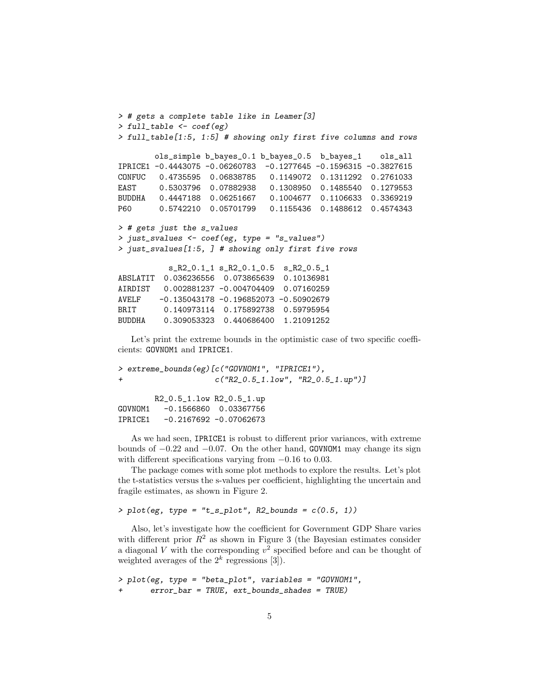```
> # gets a complete table like in Leamer[3]
> full_table <- coef(eg)
> full_table[1:5, 1:5] # showing only first five columns and rows
       ols_simple b_bayes_0.1 b_bayes_0.5 b_bayes_1 ols_all
IPRICE1 -0.4443075 -0.06260783 -0.1277645 -0.1596315 -0.3827615
CONFUC 0.4735595 0.06838785 0.1149072 0.1311292 0.2761033
EAST 0.5303796 0.07882938 0.1308950 0.1485540 0.1279553
BUDDHA 0.4447188 0.06251667 0.1004677 0.1106633 0.3369219
P60 0.5742210 0.05701799 0.1155436 0.1488612 0.4574343
> # gets just the s_values
> just_svalues <- coef(eg, type = "s_values")
> just_svalues[1:5, ] # showing only first five rows
          s_R2_0.1_1 s_R2_0.1_0.5 s_R2_0.5_1
ABSLATIT 0.036236556 0.073865639 0.10136981
AIRDIST 0.002881237 -0.004704409 0.07160259
AVELF -0.135043178 -0.196852073 -0.50902679
BRIT 0.140973114 0.175892738 0.59795954
BUDDHA 0.309053323 0.440686400 1.21091252
```
Let's print the extreme bounds in the optimistic case of two specific coefficients: GOVNOM1 and IPRICE1.

```
> extreme_bounds(eg)[c("GOVNOM1", "IPRICE1"),
+ c("R2_0.5_1.low", "R2_0.5_1.up")]
       R2_0.5_1.low R2_0.5_1.up
GOVNOM1 -0.1566860 0.03367756
IPRICE1 -0.2167692 -0.07062673
```
As we had seen, IPRICE1 is robust to different prior variances, with extreme bounds of  $-0.22$  and  $-0.07$ . On the other hand, GOVNOM1 may change its sign with different specifications varying from  $-0.16$  to 0.03.

The package comes with some plot methods to explore the results. Let's plot the t-statistics versus the s-values per coefficient, highlighting the uncertain and fragile estimates, as shown in Figure 2.

```
> plot(eg, type = "t_s.plot", R2_bounds = c(0.5, 1))
```
Also, let's investigate how the coefficient for Government GDP Share varies with different prior  $R^2$  as shown in Figure 3 (the Bayesian estimates consider a diagonal V with the corresponding  $v^2$  specified before and can be thought of weighted averages of the  $2^k$  regressions [3]).

```
> plot(eg, type = "beta_plot", variables = "GOVNOM1",
       error_bar = TRUE, ext_bounds_shades = TRUE
```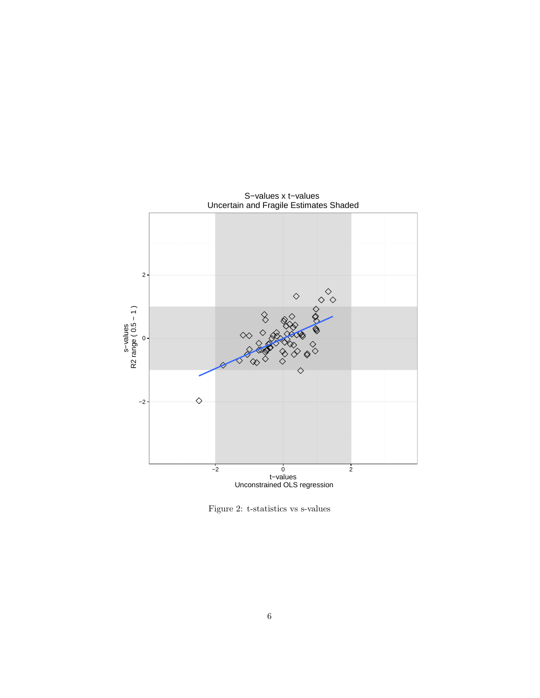

S−values x t−values

Figure 2: t-statistics vs s-values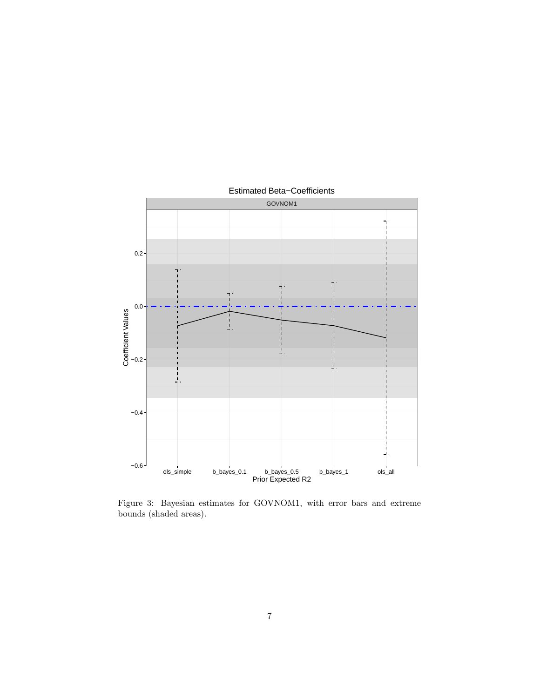

Figure 3: Bayesian estimates for GOVNOM1, with error bars and extreme bounds (shaded areas).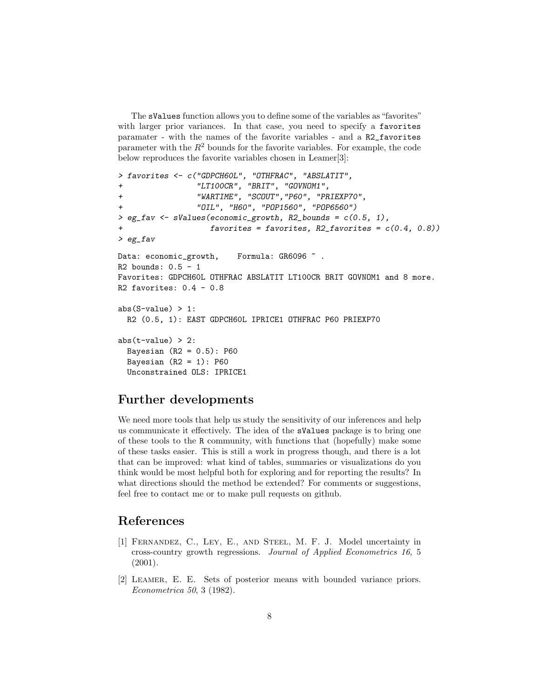The sValues function allows you to define some of the variables as "favorites" with larger prior variances. In that case, you need to specify a favorites paramater - with the names of the favorite variables - and a R2\_favorites parameter with the  $R^2$  bounds for the favorite variables. For example, the code below reproduces the favorite variables chosen in Leamer[3]:

```
> favorites <- c("GDPCH60L", "OTHFRAC", "ABSLATIT",
+ "LT100CR", "BRIT", "GOVNOM1",
+ "WARTIME", "SCOUT","P60", "PRIEXP70",
                 + "OIL", "H60", "POP1560", "POP6560")
> eg_fav <- sValues(economic_growth, R2_bounds = c(0.5, 1),
                   favorites = favorites, R2_favorites = c(0.4, 0.8))> eg_fav
Data: economic_growth, Formula: GR6096 \tilde{ }.
R2 bounds: 0.5 - 1Favorites: GDPCH60L OTHFRAC ABSLATIT LT100CR BRIT GOVNOM1 and 8 more.
R2 favorites: 0.4 - 0.8abs(S-value) > 1:
 R2 (0.5, 1): EAST GDPCH60L IPRICE1 OTHFRAC P60 PRIEXP70
abs(t-value) > 2:
 Bayesian (R2 = 0.5): P60
 Bayesian (R2 = 1): P60
 Unconstrained OLS: IPRICE1
```
## Further developments

We need more tools that help us study the sensitivity of our inferences and help us communicate it effectively. The idea of the sValues package is to bring one of these tools to the R community, with functions that (hopefully) make some of these tasks easier. This is still a work in progress though, and there is a lot that can be improved: what kind of tables, summaries or visualizations do you think would be most helpful both for exploring and for reporting the results? In what directions should the method be extended? For comments or suggestions, feel free to contact me or to make pull requests on github.

## References

- [1] Fernandez, C., Ley, E., and Steel, M. F. J. Model uncertainty in cross-country growth regressions. Journal of Applied Econometrics 16, 5 (2001).
- [2] Leamer, E. E. Sets of posterior means with bounded variance priors. Econometrica 50, 3 (1982).